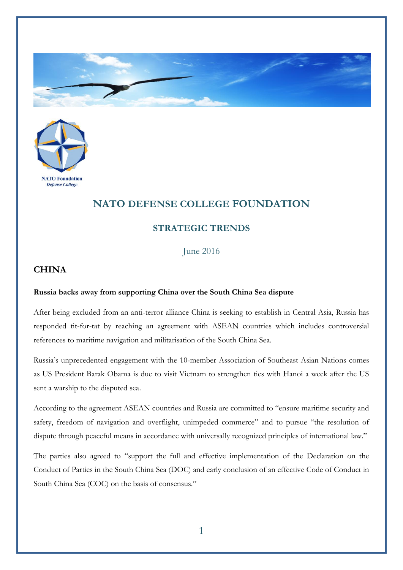



## **NATO DEFENSE COLLEGE FOUNDATION**

## **STRATEGIC TRENDS**

June 2016

## **CHINA**

## **Russia backs away from supporting China over the South China Sea dispute**

After being excluded from an anti-terror alliance China is seeking to establish in Central Asia, Russia has responded tit-for-tat by reaching an agreement with ASEAN countries which includes controversial references to maritime navigation and militarisation of the South China Sea.

Russia's unprecedented engagement with the 10-member Association of Southeast Asian Nations comes as US President Barak Obama is due to visit Vietnam to strengthen ties with Hanoi a week after the US sent a warship to the disputed sea.

According to the agreement ASEAN countries and Russia are committed to "ensure maritime security and safety, freedom of navigation and overflight, unimpeded commerce" and to pursue "the resolution of dispute through peaceful means in accordance with universally recognized principles of international law."

The parties also agreed to "support the full and effective implementation of the Declaration on the Conduct of Parties in the South China Sea (DOC) and early conclusion of an effective Code of Conduct in South China Sea (COC) on the basis of consensus."